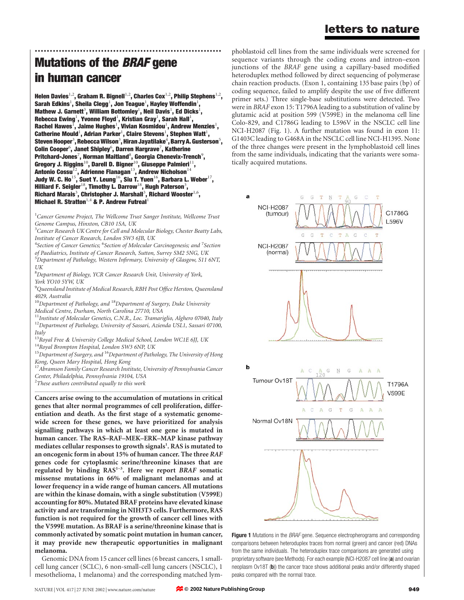# .............................................................. Mutations of the BRAF gene in human cancer

Helen Davies<sup>1,2</sup>, Graham R. Bignell<sup>1,2</sup>, Charles Cox<sup>1,2</sup>, Philip Stephens<sup>1,2</sup>, Sarah Edkins $^1$ , Sheila Clegg $^1$ , Jon Teague $^1$ , Hayley Woffendin $^1$ , Mathew J. Garnett<sup>3</sup>, William Bottomley<sup>1</sup>, Neil Davis<sup>1</sup>, Ed Dicks<sup>1</sup>, Rebecca Ewing $^1$ , Yvonne Floyd $^1$ , Kristian Gray $^1$ , Sarah Hall $^1$ , Rachel Hawes $^{\bar{1}}$ , Jaime Hughes $^{\bar{1}}$ , Vivian Kosmidou $^{\bar{1}}$ , Andrew Menzies $^{\bar{1}}$ , Catherine Mould<sup>1</sup>, Adrian Parker<sup>1</sup>, Claire Stevens<sup>1</sup>, Stephen Watt<sup>1</sup>, Steven Hooper $^3$ , Rebecca Wilson $^3$ , Hiran Jayatilake $^4$ , Barry A. Gusterson $^5$ , Colin Cooper $^6$ , Janet Shipley $^6$ , Darren Hargrave $^7$ , Katherine Pritchard-Jones<sup>7</sup>, Norman Maitland<sup>8</sup>, Georgia Chenevix-Trench<sup>9</sup>, Gregory J. Riggins $^{10}$ , Darell D. Bigner $^{10}$ , Giuseppe Palmieri $^{11}$ , Antonio Cossu $^{12}$ , Adrienne Flanagan $^{13}$ , Andrew Nicholson $^{14}$ Judy W. C. Ho $^{15}$ , Suet Y. Leung $^{16}$ , Siu T. Yuen $^{16}$ , Barbara L. Weber $^{17}$ , Hilliard F. Seigler $^{18}$ , Timothy L. Darrow $^{18}$ , Hugh Paterson $^3$ , Richard Marais<sup>3</sup>, Christopher J. Marshall<sup>3</sup>, Richard Wooster<sup>1,6</sup>, Michael R. Stratton<sup>1,4</sup> & P. Andrew Futreal<sup>1</sup>

<sup>1</sup>Cancer Genome Project, The Wellcome Trust Sanger Institute, Wellcome Trust Genome Campus, Hinxton, CB10 1SA, UK

<sup>3</sup> Cancer Research UK Centre for Cell and Molecular Biology, Chester Beatty Labs, Institute of Cancer Research, London SW3 6JB, UK

<sup>4</sup>Section of Cancer Genetics; <sup>6</sup>Section of Molecular Carcinogenesis; and <sup>7</sup>Section of Paediatrics, Institute of Cancer Research, Sutton, Surrey SM2 5NG, UK <sup>5</sup>Department of Pathology, Western Infirmary, University of Glasgow, S11 6NT,

UK

<sup>8</sup>Department of Biology, YCR Cancer Research Unit, University of York, York YO10 5YW, UK

<sup>9</sup>Queensland Institute of Medical Research, RBH Post Office Herston, Queensland 4029, Australia

 $10$ Department of Pathology, and  $18$ Department of Surgery, Duke University Medical Centre, Durham, North Carolina 27710, USA

 $11$ Institute of Molecular Genetics, C.N.R., Loc. Tramariglio, Alghero 07040, Italy <sup>12</sup>Department of Pathology, University of Sassari, Azienda USL1, Sassari 07100, Italy

 $^{13}$ Royal Free & University College Medical School, London WC1E 6JJ, UK  $^{14}$ Royal Brompton Hospital, London SW3 6NP, UK

 $15$ Department of Surgery, and  $16$ Department of Pathology, The University of Hong Kong, Queen Mary Hospital, Hong Kong

<sup>17</sup> Abramson Family Cancer Research Institute, University of Pennsylvania Cancer Center, Philadelphia, Pennsylvania 19104, USA

 $2$ These authors contributed equally to this work

.............................................................................................................................................................................

Cancers arise owing to the accumulation of mutations in critical genes that alter normal programmes of cell proliferation, differentiation and death. As the first stage of a systematic genomewide screen for these genes, we have prioritized for analysis signalling pathways in which at least one gene is mutated in human cancer. The RAS–RAF–MEK–ERK–MAP kinase pathway mediates cellular responses to growth signals<sup>1</sup>. RAS is mutated to an oncogenic form in about 15% of human cancer. The three RAF genes code for cytoplasmic serine/threonine kinases that are regulated by binding RAS<sup>1-3</sup>. Here we report BRAF somatic missense mutations in 66% of malignant melanomas and at lower frequency in a wide range of human cancers. All mutations are within the kinase domain, with a single substitution (V599E) accounting for 80%. Mutated BRAF proteins have elevated kinase activity and are transforming in NIH3T3 cells. Furthermore, RAS function is not required for the growth of cancer cell lines with the V599E mutation. As BRAF is a serine/threonine kinase that is commonly activated by somatic point mutation in human cancer, it may provide new therapeutic opportunities in malignant melanoma.

Genomic DNA from 15 cancer cell lines (6 breast cancers, 1 smallcell lung cancer (SCLC), 6 non-small-cell lung cancers (NSCLC), 1 mesothelioma, 1 melanoma) and the corresponding matched lym-

phoblastoid cell lines from the same individuals were screened for sequence variants through the coding exons and intron–exon junctions of the BRAF gene using a capillary-based modified heteroduplex method followed by direct sequencing of polymerase chain reaction products. (Exon 1, containing 135 base pairs (bp) of coding sequence, failed to amplify despite the use of five different primer sets.) Three single-base substitutions were detected. Two were in BRAF exon 15: T1796A leading to a substitution of valine by glutamic acid at position 599 (V599E) in the melanoma cell line Colo-829, and C1786G leading to L596V in the NSCLC cell line NCI-H2087 (Fig. 1). A further mutation was found in exon 11: G1403C leading to G468A in the NSCLC cell line NCI-H1395. None of the three changes were present in the lymphoblastoid cell lines from the same individuals, indicating that the variants were somatically acquired mutations.



**Figure 1** Mutations in the BRAF gene. Sequence electropherograms and corresponding comparisons between heteroduplex traces from normal (green) and cancer (red) DNAs from the same individuals. The heteroduplex trace comparisons are generated using proprietary software (see Methods). For each example (NCI-H2087 cell line (a) and ovarian neoplasm Ov18T (b)) the cancer trace shows additional peaks and/or differently shaped peaks compared with the normal trace.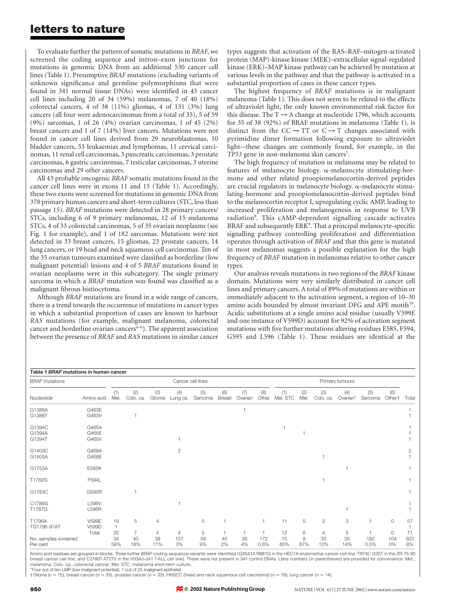To evaluate further the pattern of somatic mutations in BRAF, we screened the coding sequence and intron–exon junctions for mutations in genomic DNA from an additional 530 cancer cell lines (Table 1). Presumptive BRAF mutations (excluding variants of unknown significance and germline polymorphisms that were found in 341 normal tissue DNAs) were identified in 43 cancer cell lines including 20 of 34 (59%) melanomas, 7 of 40 (18%) colorectal cancers, 4 of 38 (11%) gliomas, 4 of 131 (3%) lung cancers (all four were adenocarcinomas from a total of 35), 5 of 59 (9%) sarcomas, 1 of 26 (4%) ovarian carcinomas, 1 of 45 (2%) breast cancers and 1 of 7 (14%) liver cancers. Mutations were not found in cancer cell lines derived from 29 neuroblastomas, 10 bladder cancers, 53 leukaemias and lymphomas, 11 cervical carcinomas, 11 renal cell carcinomas, 3 pancreatic carcinomas, 3 prostate carcinomas, 6 gastric carcinomas, 7 testicular carcinomas, 3 uterine carcinomas and 29 other cancers.

All 43 probable oncogenic BRAF somatic mutations found in the cancer cell lines were in exons 11 and 15 (Table 1). Accordingly, these two exons were screened for mutations in genomic DNA from 378 primary human cancers and short-term cultures (STC, less than passage 15). BRAF mutations were detected in 28 primary cancers/ STCs, including 6 of 9 primary melanomas, 12 of 15 melanoma STCs, 4 of 33 colorectal carcinomas, 5 of 35 ovarian neoplasms (see Fig. 1 for example), and 1 of 182 sarcomas. Mutations were not detected in 33 breast cancers, 15 gliomas, 23 prostate cancers, 14 lung cancers, or 19 head and neck squamous cell carcinomas. Ten of the 35 ovarian tumours examined were classified as borderline (low malignant potential) lesions and 4 of 5 BRAF mutations found in ovarian neoplasms were in this subcategory. The single primary sarcoma in which a BRAF mutation was found was classified as a malignant fibrous histiocytoma.

Although BRAF mutations are found in a wide range of cancers, there is a trend towards the occurrence of mutations in cancer types in which a substantial proportion of cases are known to harbour RAS mutations (for example, malignant melanoma, colorectal cancer and borderline ovarian cancers<sup>4-6</sup>). The apparent association between the presence of BRAF and RAS mutations in similar cancer

types suggests that activation of the RAS–RAF–mitogen-activated protein (MAP)-kinase kinase (MEK)–extracellular signal-regulated kinase (ERK)–MAP kinase pathway can be achieved by mutation at various levels in the pathway and that the pathway is activated in a substantial proportion of cases in these cancer types.

The highest frequency of BRAF mutations is in malignant melanoma (Table 1). This does not seem to be related to the effects of ultraviolet light, the only known environmental risk factor for this disease. The  $T \rightarrow A$  change at nucleotide 1796, which accounts for 35 of 38 (92%) of BRAF mutations in melanoma (Table 1), is distinct from the  $CC \rightarrow TT$  or  $C \rightarrow T$  changes associated with pyrimidine dimer formation following exposure to ultraviolet light—these changes are commonly found, for example, in the TP53 gene in non-melanoma skin cancers<sup>7</sup>.

The high frequency of mutation in melanoma may be related to features of melanocyte biology. <sup>a</sup>-melanocyte stimulating-hormone and other related proopiomelanocortin-derived peptides are crucial regulators in melanocyte biology. <sup>a</sup>-melanocyte stimulating-hormone and proopiomelanocortin-derived peptides bind to the melanocortin receptor I, upregulating cyclic AMP, leading to increased proliferation and melanogenesis in response to UVB radiation<sup>8</sup>. This cAMP-dependent signalling cascade activates BRAF and subsequently ERK<sup>9</sup>. That a principal melanocyte-specific signalling pathway controlling proliferation and differentiation operates through activation of BRAF and that this gene is mutated in most melanomas suggests a possible explanation for the high frequency of BRAF mutation in melanomas relative to other cancer types.

Our analysis reveals mutations in two regions of the BRAF kinase domain. Mutations were very similarly distributed in cancer cell lines and primary cancers. A total of 89% of mutations are within or immediately adjacent to the activation segment, a region of 10–30 amino acids bounded by almost invariant DFG and APE motifs<sup>10</sup>. Acidic substitutions at a single amino acid residue (usually V599E and one instance of V599D) account for 92% of activation segment mutations with five further mutations altering residues E585, F594, G595 and L596 (Table 1). These residues are identical at the

| Table 1 BRAF mutations in human cancer |                              |             |                   |               |                 |                |                      |                |              |                 |            |                     |                |                |                           |           |
|----------------------------------------|------------------------------|-------------|-------------------|---------------|-----------------|----------------|----------------------|----------------|--------------|-----------------|------------|---------------------|----------------|----------------|---------------------------|-----------|
| <b>BRAF</b> mutations                  |                              |             | Cancer cell lines |               |                 |                |                      |                |              | Primary tumours |            |                     |                |                |                           |           |
| Nucleotide                             | Amino acid                   | (1)<br>Mel. | (2)<br>Colo. ca.  | (3)<br>Glioma | (4)<br>Lung ca. | (5)<br>Sarcoma | (6)<br><b>Breast</b> | (7)<br>Ovarian | (8)<br>Other | (1)<br>Mel. STC | (2)<br>Mel | (3)<br>Colo. ca     | (4)<br>Ovarian | (5)<br>Sarcoma | (6)<br>Other <sup>+</sup> | Total     |
| G1388A<br>G1388T                       | G463E<br>G463V               |             |                   |               |                 |                |                      |                |              |                 |            |                     |                |                |                           |           |
| G1394C<br>G1394A<br>G1394T             | G465A<br>G465E<br>G465V      |             |                   |               |                 |                |                      |                |              |                 |            |                     |                |                |                           |           |
| G1403C<br>G1403A                       | G468A<br>G468E               |             |                   |               | 2               |                |                      |                |              |                 |            |                     |                |                |                           |           |
| G1753A                                 | E585K                        |             |                   |               |                 |                |                      |                |              |                 |            |                     |                |                |                           |           |
| T1782G                                 | F594L                        |             |                   |               |                 |                |                      |                |              |                 |            |                     |                |                |                           |           |
| G1783C                                 | G595R                        |             |                   |               |                 |                |                      |                |              |                 |            |                     |                |                |                           |           |
| C1786G<br>T1787G                       | <b>L596V</b><br><b>L596R</b> |             |                   |               |                 |                |                      |                |              |                 |            |                     |                |                |                           |           |
| T1796A<br>TG1796-97AT                  | V599E<br>V599D<br>Total      | 19<br>20    | 5<br>7            | 4<br>4        | 4               | 5<br>5         |                      |                |              | 11<br>12        | 5<br>6     | $\overline{2}$<br>4 | 3<br>5         |                | $\Omega$<br>0             | 57<br>71  |
| No. samples screened<br>Per cent       |                              | 34<br>59%   | 40<br>18%         | 38<br>11%     | 131<br>3%       | 59<br>9%       | 45<br>2%             | 26<br>4%       | 172<br>0.6%  | 15<br>80%       | 9<br>67%   | 33<br>12%           | 35<br>14%      | 182<br>0.5%    | 104<br>0%                 | 923<br>8% |

Amino acid residues are grouped in blocks. Three further BRAF coding sequence variants were identified (G2041A R681Q in the HEC1A endometrial cancer cell line, T974C I325T in the ZR-75-30 breast cancer cell line, and C2180T A727V in the H33AJ-JA1 T-ALL cell line). These were not present in 341 control DNAs. Lane numbers (in parentheses) are provided for convenience. Mel. melanoma; Colo. ca., colorectal cancer; Mel. STC, melanoma short-term culture.

Four out of ten LMP (low malignant potential); 1 out of 25 malignant epithelia

 $\dagger$ Glioma (n = 15), breast cancer (n = 33), prostate cancer (n = 23), HNSCC (head and neck squamous cell carcinoma) (n = 19), lung cancer (n = 14).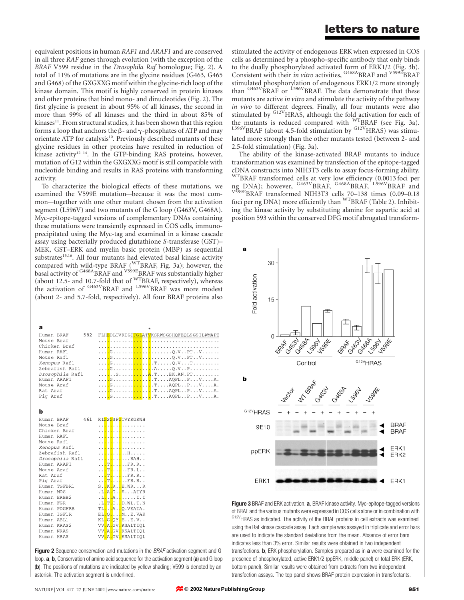equivalent positions in human RAF1 and ARAF1 and are conserved in all three RAF genes through evolution (with the exception of the BRAF V599 residue in the Drosophila Raf homologue; Fig. 2). A total of 11% of mutations are in the glycine residues (G463, G465 and G468) of the GXGXXG motif within the glycine-rich loop of the kinase domain. This motif is highly conserved in protein kinases and other proteins that bind mono- and dinucleotides (Fig. 2). The first glycine is present in about 95% of all kinases, the second in more than 99% of all kinases and the third in about 85% of kinases<sup>11</sup>. From structural studies, it has been shown that this region forms a loop that anchors the  $\beta$ - and  $\gamma$ -phosphates of ATP and may orientate ATP for catalysis<sup>10</sup>. Previously described mutants of these glycine residues in other proteins have resulted in reduction of  $k$ inase activity<sup>12-14</sup>. In the GTP-binding RAS proteins, however, mutation of G12 within the GXGXXG motif is still compatible with nucleotide binding and results in RAS proteins with transforming activity.

To characterize the biological effects of these mutations, we examined the V599E mutation—because it was the most common—together with one other mutant chosen from the activation segment (L596V) and two mutants of the G loop (G463V, G468A). Myc-epitope-tagged versions of complementary DNAs containing these mutations were transiently expressed in COS cells, immunoprecipitated using the Myc-tag and examined in a kinase cascade assay using bacterially produced glutathione S-transferase (GST)– MEK, GST–ERK and myelin basic protein (MBP) as sequential substrates<sup>15,16</sup>. All four mutants had elevated basal kinase activity compared with wild-type BRAF (WTBRAF, Fig. 3a); however, the basal activity of G468ABRAF and V599EBRAF was substantially higher (about 12.5- and 10.7-fold that of WTBRAF, respectively), whereas the activation of <sup>G463V</sup>BRAF and <sup>L596V</sup>BRAF was more modest (about 2- and 5.7-fold, respectively). All four BRAF proteins also

|                   | ÷                                          |
|-------------------|--------------------------------------------|
| 582<br>Human BRAF | FLHEDLTVKIGDFGLATVKSRWSGSHQFEQLSGSILWMAPE  |
| Mouse Braf        |                                            |
| Chicken Braf      |                                            |
| Human RAF1        |                                            |
| Mouse Raf1        |                                            |
| Xenopus Raf1      |                                            |
| Zebrafish Raf1    |                                            |
| Drosophila Rafl   | <mark>.</mark> S <mark>A</mark> .TEK.AN.PT |
| Human ARAF1       | <mark>.</mark> G <mark></mark> TAQPLPVA.   |
| Mouse Araf        | <mark>.</mark> G <mark></mark> TAQPLPVA.   |
| Rat Araf          | <mark>.</mark> G <mark></mark> TAQPLPVA.   |
| Pig Araf          | <mark>.</mark> G <mark></mark> TAQPLPVA.   |

### **b**

| 461<br>Human BRAF | RI <mark>GSGSFG</mark> TVYKGKWH                    |
|-------------------|----------------------------------------------------|
| Mouse Braf        | . . <mark>.</mark> . <mark>.</mark> <mark>.</mark> |
| Chicken Braf      | . . <mark>.</mark> . <mark>.</mark> <mark>.</mark> |
| Human RAF1        | . . <mark>.</mark> . <mark>.</mark> <mark>.</mark> |
| Mouse Raf1        | . . <mark>.</mark> . <mark>.</mark> <mark>.</mark> |
| Xenopus Raf1      | . . <mark>.</mark> . <mark>.</mark> <mark>.</mark> |
| Zebrafish Raf1    | . . <mark>.</mark> . <mark>.</mark> <mark>.</mark> |
| Drosophila Rafl   | . . <mark>.</mark> RAH.                            |
| Human ARAF1       | . . <mark>. T.</mark> FR. R. .                     |
| Mouse Araf        | . . <mark>.T.</mark> FR. L. .                      |
| Rat Araf          | . . T. FR. R. .                                    |
| Pig Araf          | . . T. FR. R. .                                    |
| Human TGFBR1      | S. <mark>.K.</mark> R. <mark>.</mark> E.WRR        |
| Human MOS         | .L <mark>.A.G</mark> SATYR                         |
| Human ERBB2       | .l <mark>A</mark> I.I                              |
| Human FGR         | .L <mark>.T.C</mark> D.WL.T.N                      |
| Human PDGFRB      | TIAQ.VEATA.                                        |
| Human IGF1R       | EL <mark>.Q</mark> ME.VAK                          |
| Human ABL1        | KL.G.QY.EE.V                                       |
| Human KRAS2       | VV.A.GV.KSALTIQL                                   |
| Human NRAS        | VV.A.GV.KSALTIQL                                   |
| Human HRAS        | VV <mark>.A.GV.KSALTIQL</mark>                     |
|                   |                                                    |

**Figure 2** Sequence conservation and mutations in the *BRAF* activation segment and G loop. **a**, **b**, Conservation of amino acid sequence for the activation segment (a) and G loop (b). The positions of mutations are indicated by yellow shading; V599 is denoted by an asterisk. The activation segment is underlined.

stimulated the activity of endogenous ERK when expressed in COS cells as determined by a phospho-specific antibody that only binds to the dually phosphorylated activated form of ERK1/2 (Fig. 3b). Consistent with their in vitro activities, <sup>G468A</sup>BRAF and <sup>V599E</sup>BRAF stimulated phosphorylation of endogenous ERK1/2 more strongly than  $G463V$ BRAF or  $L596V$ BRAF. The data demonstrate that these mutants are active in vitro and stimulate the activity of the pathway in vivo to different degrees. Finally, all four mutants were also stimulated by  $G12VHRAS$ , although the fold activation for each of the mutants is reduced compared with  $WTRRAF$  (see Fig. 3a).  $t_{596V}$ BRAF (about 4.5-fold stimulation by  $G12V$ HRAS) was stimulated more strongly than the other mutants tested (between 2- and 2.5-fold stimulation) (Fig. 3a).

The ability of the kinase-activated BRAF mutants to induce transformation was examined by transfection of the epitope-tagged cDNA constructs into NIH3T3 cells to assay focus-forming ability. WTBRAF transformed cells at very low efficiency (0.0013 foci per ng DNA); however, <sup>G463V</sup>BRAF, <sup>G468A</sup>BRAF, <sup>L596V</sup>BRAF and<br><sup>V599E</sup>BRAF transformed NIH3T3 cells 70–138 times (0.09–0.18 foci per ng DNA) more efficiently than <sup>WT</sup>BRAF (Table 2). Inhibiting the kinase activity by substituting alanine for aspartic acid at position 593 within the conserved DFG motif abrogated transform-



Figure 3 BRAF and ERK activation. a, BRAF kinase activity. Myc-epitope-tagged versions of BRAF and the various mutants were expressed in COS cells alone or in combination with  $G12V$ HRAS as indicated. The activity of the BRAF proteins in cell extracts was examined using the Raf kinase cascade assay. Each sample was assayed in triplicate and error bars are used to indicate the standard deviations from the mean. Absence of error bars indicates less than 3% error. Similar results were obtained in two independent transfections. **b**, ERK phosphorylation. Samples prepared as in **a** were examined for the presence of phosphorylated, active ERK1/2 (ppERK, middle panel) or total ERK (ERK, bottom panel). Similar results were obtained from extracts from two independent transfection assays. The top panel shows BRAF protein expression in transfectants.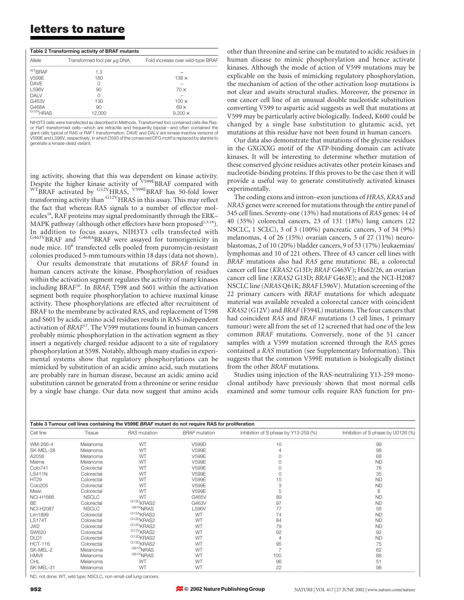| Table 2 Transforming activity of BRAF mutants |                             |                                   |  |  |  |  |
|-----------------------------------------------|-----------------------------|-----------------------------------|--|--|--|--|
| Allele                                        | Transformed foci per µg DNA | Fold increase over wild-type BRAF |  |  |  |  |
| <sup>WT</sup> BRAF                            | 1.3                         |                                   |  |  |  |  |
| V599F                                         | 180                         | $138 \times$                      |  |  |  |  |
| <b>DAVE</b>                                   |                             |                                   |  |  |  |  |
| L596V                                         | 90                          | 70x                               |  |  |  |  |
| DAI V                                         | Ω                           |                                   |  |  |  |  |
| G463V                                         | 130                         | $100 \times$                      |  |  |  |  |
| G468A                                         | 90                          | $69 \times$                       |  |  |  |  |
| G <sub>12V</sub> HRAS                         | 12.000                      | $9.200 \times$                    |  |  |  |  |
|                                               |                             |                                   |  |  |  |  |

NIH3T3 cells were transfected as described in Methods. Transformed foci contained cells like Rasor Raf1-transformed cells—which are refractile and frequently bipolar—and often contained the giant cells typical of RAS or RAF1 transformation. DAVE and DALV are kinase-inactive versions of V599E and L596V, respectively, in which D593 of the conserved DFG motif is replaced by alanine to generate a kinase-dead variant.

ing activity, showing that this was dependent on kinase activity. Despite the higher kinase activity of <sup>V599E</sup>BRAF compared with WTBRAF activated by <sup>G12V</sup>HRAS, <sup>V599E</sup>BRAF has 50-fold lower transforming activity than G12V<sub>HRAS</sub> in this assay. This may reflect the fact that whereas RAS signals to a number of effector molecules<sup>18</sup>, RAF proteins may signal predominantly through the ERK– MAPK pathway (although other effectors have been proposed<sup>2,3,18</sup>). In addition to focus assays, NIH3T3 cells transfected with G463V<sub>BRAF</sub> and <sup>G468A</sup>BRAF were assayed for tumorigenicity in nude mice. 10<sup>6</sup> transfected cells pooled from puromycin-resistant colonies produced 5-mm tumours within 18 days (data not shown).

Our results demonstrate that mutations of BRAF found in human cancers activate the kinase. Phosphorylation of residues within the activation segment regulates the activity of many kinases including BRAF<sup>10</sup>. In BRAF, T598 and S601 within the activation segment both require phosphorylation to achieve maximal kinase activity. These phosphorylations are effected after recruitment of BRAF to the membrane by activated RAS, and replacement of T598 and S601 by acidic amino acid residues results in RAS-independent activation of BRAF<sup>17</sup>. The V599 mutations found in human cancers probably mimic phosphorylation in the activation segment as they insert a negatively charged residue adjacent to a site of regulatory phosphorylation at S598. Notably, although many studies in experimental systems show that regulatory phosphorylations can be mimicked by substitution of an acidic amino acid, such mutations are probably rare in human disease, because an acidic amino acid substitution cannot be generated from a threonine or serine residue by a single base change. Our data now suggest that amino acids

other than threonine and serine can be mutated to acidic residues in human disease to mimic phosphorylation and hence activate kinases. Although the mode of action of V599 mutations may be explicable on the basis of mimicking regulatory phosphorylation, the mechanism of action of the other activation loop mutations is not clear and awaits structural studies. Moreover, the presence in one cancer cell line of an unusual double nucleotide substitution converting V599 to aspartic acid suggests as well that mutations at V599 may be particularly active biologically. Indeed, K600 could be changed by a single base substitution to glutamic acid, yet mutations at this residue have not been found in human cancers.

Our data also demonstrate that mutations of the glycine residues in the GXGXXG motif of the ATP-binding domain can activate kinases. It will be interesting to determine whether mutation of these conserved glycine residues activates other protein kinases and nucleotide-binding proteins. If this proves to be the case then it will provide a useful way to generate constitutively activated kinases experimentally.

The coding exons and intron–exon junctions of HRAS, KRAS and NRAS genes were screened for mutations through the entire panel of 545 cell lines. Seventy-one (13%) had mutations of RAS genes: 14 of 40 (35%) colorectal cancers, 23 of 131 (18%) lung cancers (22 NSCLC, 1 SCLC), 3 of 3 (100%) pancreatic cancers, 3 of 34 (9%) melanomas, 4 of 26 (15%) ovarian cancers, 3 of 27 (11%) neuroblastomas, 2 of 10 (20%) bladder cancers, 9 of 53 (17%) leukaemias/ lymphomas and 10 of 221 others. Three of 43 cancer cell lines with BRAF mutations also had RAS gene mutations: BE, a colorectal cancer cell line (KRAS2 G13D; BRAF G463V); Hx62/26, an ovarian cancer cell line (KRAS2 G13D; BRAF G463E); and the NCI-H2087 NSCLC line (NRAS Q61K; BRAF L596V). Mutation screening of the 22 primary cancers with BRAF mutations for which adequate material was available revealed a colorectal cancer with coincident KRAS2 (G12V) and BRAF (F594L) mutations. The four cancers that had coincident RAS and BRAF mutations (3 cell lines, 1 primary tumour) were all from the set of 12 screened that had one of the less common BRAF mutations. Conversely, none of the 51 cancer samples with a V599 mutation screened through the RAS genes contained a RAS mutation (see Supplementary Information). This suggests that the common V599E mutation is biologically distinct from the other BRAF mutations.

Studies using injection of the RAS-neutralizing Y13-259 monoclonal antibody have previously shown that most normal cells examined and some tumour cells require RAS function for pro-

| Table 3 Tumour cell lines containing the V599E BRAF mutant do not require RAS for proliferation |              |                                    |                      |                                      |                                    |  |  |
|-------------------------------------------------------------------------------------------------|--------------|------------------------------------|----------------------|--------------------------------------|------------------------------------|--|--|
| Cell line                                                                                       | Tissue       | RAS mutation                       | <b>BRAF</b> mutation | Inhibition of S phase by Y13-259 (%) | Inhibition of S phase by U0126 (%) |  |  |
| WM-266-4                                                                                        | Melanoma     | <b>WT</b>                          | V599D                | 10                                   | 99                                 |  |  |
| SK-MEL-28                                                                                       | Melanoma     | WТ                                 | V599E                |                                      | 98                                 |  |  |
| A2058                                                                                           | Melanoma     | WТ                                 | V599E                |                                      | 68                                 |  |  |
| Malme                                                                                           | Melanoma     | <b>WT</b>                          | V599E                |                                      | <b>ND</b>                          |  |  |
| Colo741                                                                                         | Colorectal   | WТ                                 | <b>V599E</b>         |                                      | 76                                 |  |  |
| <b>LS411N</b>                                                                                   | Colorectal   | WЛ                                 | V599E                |                                      | 35                                 |  |  |
| <b>HT29</b>                                                                                     | Colorectal   | WТ                                 | V599E                | 15                                   | <b>ND</b>                          |  |  |
| Colo205                                                                                         | Colorectal   | WТ                                 | V599E                | 3                                    | <b>ND</b>                          |  |  |
| Mawi                                                                                            | Colorectal   | WЛ                                 | V599E                | 5                                    | 8                                  |  |  |
| <b>NCI-H1666</b>                                                                                | <b>NSCLC</b> | <b>WT</b>                          | G465V                | 89                                   | <b>ND</b>                          |  |  |
| <b>BF</b>                                                                                       | Colorectal   | G13D <sub>KRAS2</sub>              | G463V                | 97                                   | <b>ND</b>                          |  |  |
| <b>NCI-H2087</b>                                                                                | <b>NSCLC</b> | Q61KNRAS                           | L596V                | 77                                   | 56                                 |  |  |
| Lim1899                                                                                         | Colorectal   | G <sub>12A</sub> KRAS <sub>2</sub> | <b>WT</b>            | 74                                   | <b>ND</b>                          |  |  |
| <b>LS174T</b>                                                                                   | Colorectal   | G <sub>12D</sub> <sub>KRAS2</sub>  | WТ                   | 84                                   | <b>ND</b>                          |  |  |
| JW2                                                                                             | Colorectal   | G <sub>12D</sub> <sub>KRAS2</sub>  | <b>WT</b>            | 79                                   | <b>ND</b>                          |  |  |
| <b>SW620</b>                                                                                    | Colorectal   | G <sub>12V</sub> <sub>KRAS2</sub>  |                      | 92                                   | 92                                 |  |  |
| DLD1                                                                                            | Colorectal   | G13D <sub>KRAS2</sub>              |                      |                                      | <b>ND</b>                          |  |  |
| <b>HCT-116</b>                                                                                  | Colorectal   | G <sub>13D</sub> <sub>KRAS2</sub>  |                      | 95                                   | 75                                 |  |  |
| SK-MEL-2                                                                                        | Melanoma     | Q61R <sub>NRAS</sub>               |                      |                                      | 62                                 |  |  |
| <b>HMVII</b>                                                                                    | Melanoma     | Q61KNRAS                           |                      | 100                                  | 86                                 |  |  |
| CHI.                                                                                            | Melanoma     | <b>WT</b>                          | <b>WT</b>            | 96                                   | 51                                 |  |  |
| SK-MEL-31                                                                                       | Melanoma     |                                    |                      | 22                                   | 98                                 |  |  |

ND, not done; WT, wild type; NSCLC, non-small-cell lung cancers.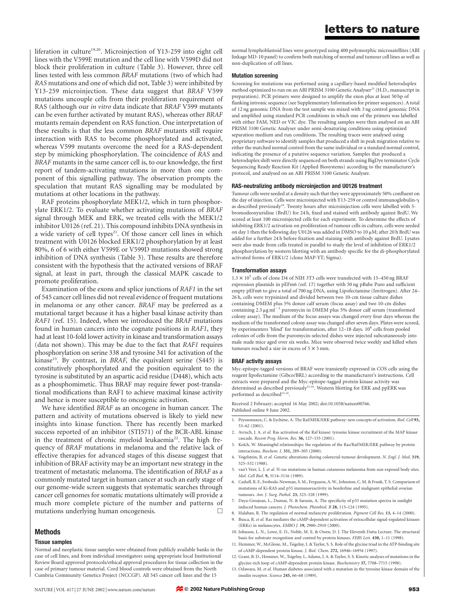liferation in culture<sup>19,20</sup>. Microinjection of Y13-259 into eight cell lines with the V599E mutation and the cell line with V599D did not block their proliferation in culture (Table 3). However, three cell lines tested with less common BRAF mutations (two of which had RAS mutations and one of which did not, Table 3) were inhibited by Y13-259 microinjection. These data suggest that BRAF V599 mutations uncouple cells from their proliferation requirement of RAS (although our in vitro data indicate that BRAF V599 mutants can be even further activated by mutant RAS), whereas other BRAF mutants remain dependent on RAS function. One interpretation of these results is that the less common BRAF mutants still require interaction with RAS to become phosphorylated and activated, whereas V599 mutants overcome the need for a RAS-dependent step by mimicking phosphorylation. The coincidence of RAS and BRAF mutants in the same cancer cell is, to our knowledge, the first report of tandem-activating mutations in more than one component of this signalling pathway. The observation prompts the speculation that mutant RAS signalling may be modulated by mutations at other locations in the pathway.

RAF proteins phosphorylate MEK1/2, which in turn phosphorylate ERK1/2. To evaluate whether activating mutations of BRAF signal through MEK and ERK, we treated cells with the MEK1/2 inhibitor U0126 (ref. 21). This compound inhibits DNA synthesis in a wide variety of cell types<sup>21</sup>. Of those cancer cell lines in which treatment with U0126 blocked ERK1/2 phosphorylation by at least 80%, 6 of 6 with either V599E or V599D mutations showed strong inhibition of DNA synthesis (Table 3). These results are therefore consistent with the hypothesis that the activated versions of BRAF signal, at least in part, through the classical MAPK cascade to promote proliferation.

Examination of the exons and splice junctions of RAF1 in the set of 545 cancer cell lines did not reveal evidence of frequent mutations in melanoma or any other cancer. BRAF may be preferred as a mutational target because it has a higher basal kinase activity than RAF1 (ref. 15). Indeed, when we introduced the BRAF mutations found in human cancers into the cognate positions in RAF1, they had at least 10-fold lower activity in kinase and transformation assays (data not shown). This may be due to the fact that RAF1 requires phosphorylation on serine 338 and tyrosine 341 for activation of the kinase<sup>15</sup>. By contrast, in BRAF, the equivalent serine  $(S445)$  is constitutively phosphorylated and the position equivalent to the tyrosine is substituted by an aspartic acid residue (D448), which acts as a phosphomimetic. Thus BRAF may require fewer post-translational modifications than RAF1 to achieve maximal kinase activity and hence is more susceptible to oncogenic activation.

We have identified BRAF as an oncogene in human cancer. The pattern and activity of mutations observed is likely to yield new insights into kinase function. There has recently been marked success reported of an inhibitor (STI571) of the BCR-ABL kinase in the treatment of chronic myeloid leukaemia<sup>22</sup>. The high frequency of BRAF mutations in melanoma and the relative lack of effective therapies for advanced stages of this disease suggest that inhibition of BRAF activity may be an important new strategy in the treatment of metastatic melanoma. The identification of BRAF as a commonly mutated target in human cancer at such an early stage of our genome-wide screen suggests that systematic searches through cancer cell genomes for somatic mutations ultimately will provide a much more complete picture of the number and patterns of mutations underlying human oncogenesis.  $\Box$ 

### Methods

### Tissue samples

Normal and neoplastic tissue samples were obtained from publicly available banks in the case of cell lines, and from individual investigators using appropriate local Institutional Review Board approved protocols/ethical approval procedures for tissue collection in the case of primary tumour material. Cord blood controls were obtained from the North Cumbria Community Genetics Project (NCCGP). All 545 cancer cell lines and the 15

normal lymphoblastoid lines were genotyped using 400 polymorphic microsatellites (ABI linkage MD-10 panel) to confirm both matching of normal and tumour cell lines as well as non-duplication of cell lines.

#### Mutation screening

Screening for mutations was performed using a capillary-based modified heteroduplex method optimized to run on an ABI PRISM 3100 Genetic Analyser<sup>23</sup> (H.D., manuscript in preparation). PCR primers were designed to amplify the exon plus at least 50 bp of flanking intronic sequence (see Supplementary Information for primer sequences). A total of 12 ng genomic DNA from the test sample was mixed with 3 ng control genomic DNA and amplified using standard PCR conditions in which one of the primers was labelled with either FAM, NED or VIC dye. The resulting samples were then analysed on an ABI PRISM 3100 Genetic Analyser under semi-denaturing conditions using optimized separation medium and run conditions. The resulting traces were analysed using proprietary software to identify samples that produced a shift in peak migration relative to either the matched normal control from the same individual or a standard normal control, indicating the presence of a putative sequence variation. Samples that produced a heteroduplex shift were directly sequenced on both strands using BigDye terminator Cycle Sequencing Ready Reaction Kit (Applied Biosystems) according to the manufacturer's protocol, and analysed on an ABI PRISM 3100 Genetic Analyser.

#### RAS-neutralizing antibody microinjection and U0126 treatment

Tumour cells were seeded at a density such that they were approximately 50% confluent on the day of injection. Cells were microinjected with Y13-259 or control immunoglobulin- $\gamma$ as described previously<sup>24</sup>. Twenty hours after microinjection cells were labelled with 5bromodeoxyuridine (BrdU) for 24 h, fixed and stained with antibody against BrdU. We scored at least 100 microinjected cells for each experiment. To determine the effects of inhibiting ERK1/2 activation on proliferation of tumour cells in culture, cells were seeded on day 1 then the following day U0126 was added in DMSO to 10  $\mu$ M; after 20 h BrdU was added for a further 24 h before fixation and staining with antibody against BrdU. Lysates were also made from cells treated in parallel to study the level of inhibition of ERK1/2 phosphorylation by western blotting with an antibody specific for the di-phosphorylated activated forms of ERK1/2 (clone MAP-YT; Sigma).

#### Transformation assays

 $1.3 \times 10^5$  cells of clone D4 of NIH 3T3 cells were transfected with 15–450 ng BRAF expression plasmids in pEFm6 (ref. 17) together with 50 ng pBabe Puro and sufficient empty pEFm6 to give a total of 700 ng DNA, using Lipofectamine (Invitrogen). After 24– 26 h, cells were trypsinized and divided between two 10-cm tissue culture dishes containing DMEM plus 5% donor calf serum (focus assay) and two 10-cm dishes containing  $2.5 \mu g$  ml<sup>-1</sup> puromycin in DMEM plus 5% donor calf serum (transformed colony assay). The medium of the focus assays was changed every four days whereas the medium of the transformed colony assay was changed after seven days. Plates were scored, by experimenters 'blind' for transformation, after 12-18 days. 10<sup>6</sup> cells from pooled colonies of cells from the puromycin-selected dishes were injected subcutaneously into male nude mice aged over six weeks. Mice were observed twice weekly and killed when tumours reached a size in excess of  $5 \times 5$  mm.

### BRAF activity assays

Myc-epitope-tagged versions of BRAF were transiently expressed in COS cells using the reagent lipofectamine (Gibco/BRL) according to the manufacturer's instructions. Cell extracts were prepared and the Myc-epitope-tagged protein kinase activity was<br>determined as described previously<sup>15,16</sup>. Western blotting for ERK and ppERK was performed as described<sup>15,16</sup>.

Received 2 February; accepted 16 May 2002; doi:10.1038/nature00766. Published online 9 June 2002.

- 1. Peyssonnaux, C. & Eychène, A. The Raf/MEK/ERK pathway: new concepts of activation. Biol. Cell 93, 53–62 (2001).
- 2. Avruch, J. A. et al. Ras activation of the Raf kinase: tyrosine kinase recruitment of the MAP kinase cascade. Recent Prog. Horm. Res. 56, 127–155 (2001).
- 3. Kolch, W. Meaningful relationships: the regulation of the Ras/Raf/MEK/ERK pathway by protein interactions. Biochem. J. 351, 289–305 (2000).
- 4. Vogelstein, B. et al. Genetic alterations during colorectal-tumour development. N. Engl. J. Med. 319, 525–532 (1988).
- 5. van't Veer, L. J. et al. N-ras mutations in human cutaneous melanoma from sun-exposed body sites. Mol. Cell Biol. 9, 3114–3116 (1989).
- 6. Caduff, R. F., Svoboda-Newman, S. M., Ferguson, A. W., Johnston, C. M. & Frank, T. S. Comparison of mutations of Ki-RAS and p53 immunoreactivity in borderline and malignant epithelial ovarian tumours. Am. J. Surg. Pathol. 23, 323–328 (1999).
- 7. Daya-Grosjean, L., Dumaz, N. & Sarasin, A. The specificity of p53 mutation spectra in sunlight induced human cancers. J. Photochem. Photobiol. B 28, 115–124 (1995).
- 8. Halaban, R. The regulation of normal melancyte proliferation. Pigment Cell Res. 13, 4–14 (2000). 9. Busca, R. et al. Ras mediates the cAMP-dependent activation of extracellular signal-regulated kinases
- (ERKs) in melanocytes. EMBO J. 19, 2900–2910 (2000). 10. Johnson, L. N., Lowe, E. D., Noble, M. E. & Owen, D. J. The Eleventh Datta Lecture. The structural
- basis for substrate recognition and control by protein kinases. FEBS Lett. 430, 1–11 (1998). 11. Hemmer, W., McGlone, M., Tsigelny, I. & Taylor, S. S. Role of the glycine triad in the ATP-binding site
- of cAMP-dependent protein kinase. J. Biol. Chem. 272, 16946–16954 (1997).
- 12. Grant, B. D., Hemmer, W., Tsigelny, I., Adams, J. A. & Taylor, S. S. Kinetic analyses of mutations in the glycine-rich loop of cAMP-dependent protein kinase. Biochemistry 37, 7708–7715 (1998).
- 13. Odawara, M. et al. Human diabetes associated with a mutation in the tyrosine kinase domain of the insulin receptor. Science 245, 66–68 (1989).